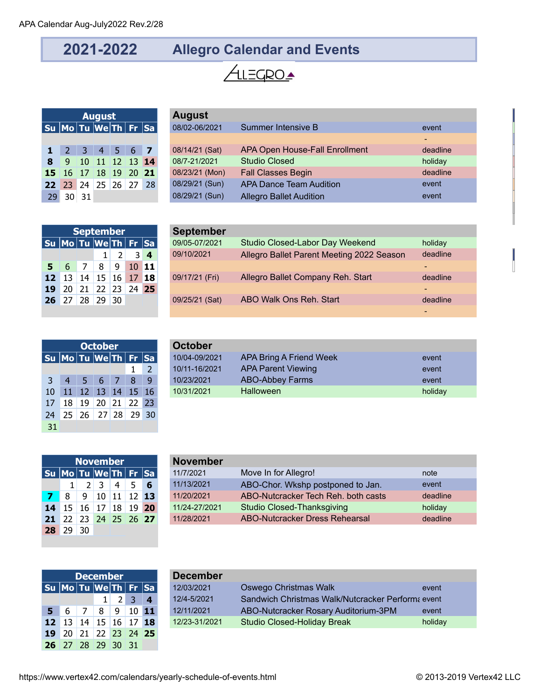## **2021-2022 Allegro Calendar and Events**

## ALEGROA

|                                                                                           |                      | <b>August</b>           |  |  | <b>August</b> |
|-------------------------------------------------------------------------------------------|----------------------|-------------------------|--|--|---------------|
| $ \mathsf{S}\mathsf{u} \,$ Mo $ \mathsf{Tu} \,$ We $ \mathsf{Th} \,$ Fr $ \mathsf{Sa} \,$ |                      |                         |  |  | 08/02-06/2    |
|                                                                                           |                      |                         |  |  |               |
| $\mathbf{1}$                                                                              |                      | $2 \t3 \t4 \t5 \t6 \t7$ |  |  | 08/14/21 (    |
| 8                                                                                         |                      | 9 10 11 12 13 14        |  |  | 08/7-21/20    |
|                                                                                           | 15 16 17 18 19 20 21 |                         |  |  | 08/23/21 (    |
|                                                                                           | 22 23 24 25 26 27 28 |                         |  |  | 08/29/21 (9   |
| 29                                                                                        | $30 \vert 31$        |                         |  |  | 08/29/21 (    |

| <b>August</b>               |  |  |  |  |    | <b>August</b>  |                                |          |
|-----------------------------|--|--|--|--|----|----------------|--------------------------------|----------|
| Su Mo Tu We Th   Fr  Sa     |  |  |  |  |    | 08/02-06/2021  | Summer Intensive B             | event    |
|                             |  |  |  |  |    |                |                                | $\sim$   |
| $1 \t2 \t3 \t4 \t5 \t6 \t7$ |  |  |  |  |    | 08/14/21 (Sat) | APA Open House-Fall Enrollment | deadline |
| 8 9 10 11 12 13 14          |  |  |  |  |    | 08/7-21/2021   | <b>Studio Closed</b>           | holiday  |
| 15 16 17 18 19 20 21        |  |  |  |  |    | 08/23/21 (Mon) | <b>Fall Classes Begin</b>      | deadline |
| 22 23 24 25 26 27           |  |  |  |  | 28 | 08/29/21 (Sun) | <b>APA Dance Team Audition</b> | event    |
| $29$ 30 31                  |  |  |  |  |    | 08/29/21 (Sun) | <b>Allegro Ballet Audition</b> | event    |

|    | <b>September</b>          |                 |       |                |                |                  | <b>September</b> |                                           |          |
|----|---------------------------|-----------------|-------|----------------|----------------|------------------|------------------|-------------------------------------------|----------|
|    | Su  Mo Tu  We Th   Fr  Sa |                 |       |                |                |                  | 09/05-07/2021    | Studio Closed-Labor Day Weekend           | holiday  |
|    |                           |                 |       | $\overline{2}$ | 3 <sup>k</sup> | $\boldsymbol{4}$ | 09/10/2021       | Allegro Ballet Parent Meeting 2022 Season | deadline |
|    | $5 \t6$                   |                 | 8     | -9             |                | $10$ 11          |                  |                                           |          |
|    | $12$ 13                   | 14 <sub>1</sub> | 15    |                | 16 17 18       |                  | 09/17/21 (Fri)   | Allegro Ballet Company Reh. Start         | deadline |
| 19 | -20                       | 21              |       |                | 22 23 24 25    |                  |                  |                                           |          |
|    | $26 \t27$                 | 28              | 29 30 |                |                |                  | 09/25/21 (Sat)   | ABO Walk Ons Reh. Start                   | deadline |
|    |                           |                 |       |                |                |                  |                  |                                           |          |

|                      |    | <b>October</b> | <b>October</b>    |       |            |               |             |
|----------------------|----|----------------|-------------------|-------|------------|---------------|-------------|
| Su Mo Tu We Th Fr Sa |    |                |                   |       |            |               | 10/04-09/20 |
|                      |    |                |                   |       |            | $\mathcal{L}$ | 10/11-16/20 |
| 3                    | 4  | 5              | 6                 |       | 8          | q             | 10/23/2021  |
| 10                   | 11 |                | 12 13 14          |       | $15 \, 16$ |               | 10/31/2021  |
| 17                   | 18 | 19             |                   | 20 21 | 22 23      |               |             |
| 24                   |    |                | 25 26 27 28 29 30 |       |            |               |             |
| 31                   |    |                |                   |       |            |               |             |

|                |                           |      | <b>October</b> |   |              | October       |                           |  |         |  |  |  |  |
|----------------|---------------------------|------|----------------|---|--------------|---------------|---------------------------|--|---------|--|--|--|--|
|                | Su  Mo Tu  We Th   Fr  Sa |      |                |   |              | 10/04-09/2021 | APA Bring A Friend Week   |  | event   |  |  |  |  |
|                |                           |      |                |   |              | 10/11-16/2021 | <b>APA Parent Viewing</b> |  | event   |  |  |  |  |
| 3 <sup>7</sup> | $\vert 4 \vert$           | 45 Z | $6 \mid 7$     | 8 | $\mathbf{q}$ | 10/23/2021    | <b>ABO-Abbey Farms</b>    |  | event   |  |  |  |  |
| $10-1$         | 11                        |      | 12 13 14 15 16 |   |              | 10/31/2021    | Halloween                 |  | holiday |  |  |  |  |

|                             |                   |   | <b>November</b>        |                 |   | <b>November</b> |
|-----------------------------|-------------------|---|------------------------|-----------------|---|-----------------|
| Su  Mo   Tu  We Th   Fr  Sa |                   |   |                        |                 |   | 11/7/2021       |
|                             |                   |   | $2 \mid 3 \mid 4 \mid$ | 5.              | 6 | 11/13/2021      |
|                             | 8                 | 9 | 10                     | $11 \mid 12$ 13 |   | 11/20/2021      |
| 14                          |                   |   | 15 16 17 18 19 20      |                 |   | 11/24-27/2021   |
| 21                          | 22 23 24 25 26 27 |   |                        |                 |   | 11/28/2021      |
|                             | 29                |   |                        |                 |   |                 |

|          | <b>November</b>             |   |            |                |                |                         | <b>November</b> |                                     |          |  |  |  |  |  |
|----------|-----------------------------|---|------------|----------------|----------------|-------------------------|-----------------|-------------------------------------|----------|--|--|--|--|--|
|          | Su  Mo  Tu  We  Th   Fr  Sa |   |            |                |                |                         | 11/7/2021       | Move In for Allegro!                | note     |  |  |  |  |  |
|          |                             |   | $2 \mid 3$ | $\overline{4}$ | 5 <sup>5</sup> | 6                       | 11/13/2021      | ABO-Chor. Wkshp postponed to Jan.   | event    |  |  |  |  |  |
| $7 \t 8$ |                             | 9 |            |                |                | $10 \mid 11 \mid 12$ 13 | 11/20/2021      | ABO-Nutcracker Tech Reh. both casts | deadline |  |  |  |  |  |
|          | $14 \quad 15$               |   |            |                |                | 16 17 18 19 20          | 11/24-27/2021   | <b>Studio Closed-Thanksgiving</b>   | holiday  |  |  |  |  |  |
|          | 21 22 23 24 25 26 27        |   |            |                |                |                         | 11/28/2021      | ABO-Nutcracker Dress Rehearsal      | deadline |  |  |  |  |  |

|    |                                    |       | <b>December</b>   |                    |      |     | <b>December</b> |
|----|------------------------------------|-------|-------------------|--------------------|------|-----|-----------------|
|    | Su   Mo   Tu   We   Th   Fr   Sa   |       |                   |                    |      |     | 12/03/2021      |
|    |                                    |       |                   |                    | 2 3  |     | 12/4-5/2021     |
| 5. |                                    | 6 7 1 |                   | $8 \mid 9 \mid 10$ |      | -11 | 12/11/2021      |
|    | <b>12</b> 13 14 15 16 17 <b>18</b> |       |                   |                    |      |     | 12/23-31/2021   |
| 19 |                                    |       | 20 21 22 23 24 25 |                    |      |     |                 |
| 26 | $127$ 28 29 30                     |       |                   |                    | - 31 |     |                 |

|                                    | <b>December</b> |  |                             | <b>December</b> |                                                   |         |
|------------------------------------|-----------------|--|-----------------------------|-----------------|---------------------------------------------------|---------|
| Su  Mo Tu  We Th   Fr  Sa          |                 |  |                             | 12/03/2021      | Oswego Christmas Walk                             | event   |
|                                    |                 |  | $1 \quad 2 \quad 3 \quad 4$ | 12/4-5/2021     | Sandwich Christmas Walk/Nutcracker Performa event |         |
| $5 \t6 \t7 \t8 \t9$                |                 |  | $10$ 11                     | 12/11/2021      | ABO-Nutcracker Rosary Auditorium-3PM              | event   |
| <b>12</b> 13 14 15 16 17 <b>18</b> |                 |  |                             | 12/23-31/2021   | Studio Closed-Holiday Break                       | holiday |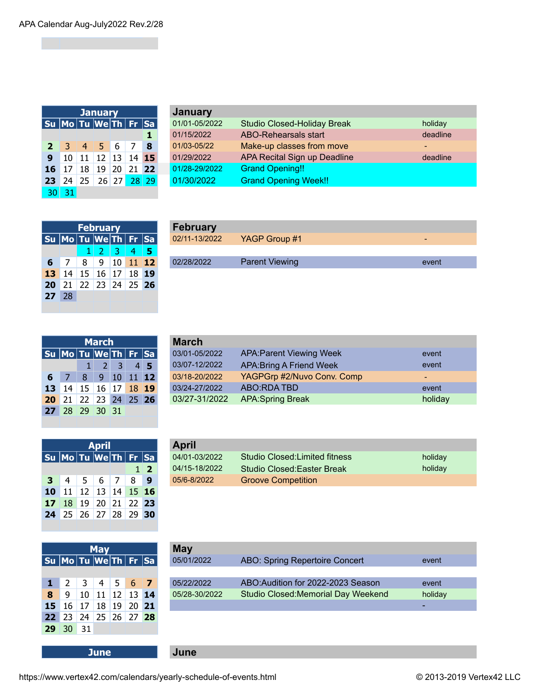|                      |    |    | <b>January</b>    |   |          |   | <b>January</b> |
|----------------------|----|----|-------------------|---|----------|---|----------------|
| Su Mo Tu We Th Fr Sa |    |    |                   |   |          |   | 01/01-05/20    |
|                      |    |    |                   |   |          |   | 01/15/2022     |
| $\overline{2}$       | -3 |    | $4 \mid 5$        | 6 |          | 8 | 01/03-05/22    |
| $\mathbf{9}$         | 10 | 11 | $12 \mid 13 \mid$ |   | 14 15    |   | 01/29/2022     |
| 16                   | 17 | 18 | 19                |   | 20 21 22 |   | 01/28-29/20    |
| 23                   | 24 |    | 25 26 27 28 29    |   |          |   | 01/30/2022     |
| 30                   | 31 |    |                   |   |          |   |                |

|                |                          |                 | <b>January</b>               |     |       |             | January       |                                    |          |  |  |  |  |  |  |
|----------------|--------------------------|-----------------|------------------------------|-----|-------|-------------|---------------|------------------------------------|----------|--|--|--|--|--|--|
|                | Su  Mo Tu  We Th  Fr  Sa |                 |                              |     |       |             | 01/01-05/2022 | <b>Studio Closed-Holiday Break</b> | holiday  |  |  |  |  |  |  |
|                |                          |                 |                              |     |       |             | 01/15/2022    | <b>ABO-Rehearsals start</b>        | deadline |  |  |  |  |  |  |
|                | $2 \t3 \t4 \t5 \t6$      |                 |                              |     |       | 8           | 01/03-05/22   | Make-up classes from move          |          |  |  |  |  |  |  |
| 9 <sup>1</sup> | 10                       | 11 <sup>1</sup> | $12 \mid 13 \mid 14 \mid 15$ |     |       |             | 01/29/2022    | APA Recital Sign up Deadline       | deadline |  |  |  |  |  |  |
| $16-$          | -17                      | 18              | 19                           | 120 | 21 22 |             | 01/28-29/2022 | <b>Grand Opening!!</b>             |          |  |  |  |  |  |  |
|                | 23 24                    | 25              |                              |     |       | 26 27 28 29 | 01/30/2022    | <b>Grand Opening Week!!</b>        |          |  |  |  |  |  |  |

|                                                                                                  |                      | <b>February</b>                    |           |     | <b>February</b> |
|--------------------------------------------------------------------------------------------------|----------------------|------------------------------------|-----------|-----|-----------------|
| $ \mathsf{S}\mathsf{u} \mathsf{Mo} \mathsf{Tu} \mathsf{We} \mathsf{Th} \mathsf{Fr} \mathsf{Sa} $ |                      |                                    |           |     | 02/11-13/202    |
|                                                                                                  |                      | $1 \ 2 \ 3$                        | <b>47</b> | - 5 |                 |
| 6                                                                                                | - 7 I                | $8 \mid 9 \mid 10 \mid 11 \mid 12$ |           |     | 02/28/2022      |
|                                                                                                  | 13 14 15 16 17 18 19 |                                    |           |     |                 |
|                                                                                                  | 20 21 22 23 24 25 26 |                                    |           |     |                 |
| 27                                                                                               | -28                  |                                    |           |     |                 |
|                                                                                                  |                      |                                    |           |     |                 |

|                |                           |    | <b>February</b> |  |                  | <b>February</b> |                       |       |
|----------------|---------------------------|----|-----------------|--|------------------|-----------------|-----------------------|-------|
|                | Su  Mo Tu  We Th   Fr  Sa |    |                 |  |                  | 02/11-13/2022   | YAGP Group #1         |       |
|                |                           |    |                 |  |                  |                 |                       |       |
| 6 <sup>1</sup> |                           |    | 9               |  | $ 10 \t11 \t12 $ | 02/28/2022      | <b>Parent Viewing</b> | event |
| 13             | 14                        | 15 | 16 17           |  | 18 19            |                 |                       |       |
|                |                           |    |                 |  |                  |                 |                       |       |

|                      |                          | <b>March</b>        |    |  |               |
|----------------------|--------------------------|---------------------|----|--|---------------|
| Su Mo Tu We Th Fr Sa |                          |                     |    |  | $03/01 - 05/$ |
|                      |                          | $1 \quad 2 \quad 3$ | 45 |  | 03/07-12/     |
| 6                    | $\overline{\phantom{0}}$ | 8 9 10 11 12        |    |  | 03/18-20/     |
|                      | 13 14 15 16 17 18 19     |                     |    |  | $03/24 - 27/$ |
| <b>20</b>            | 21 22 23 24 25 26        |                     |    |  | 03/27-31      |
| 27                   |                          | 28 29 30 31         |    |  |               |

| March      |                                                |   |                          |                                 |       |                 | <b>March</b>  |                            |         |
|------------|------------------------------------------------|---|--------------------------|---------------------------------|-------|-----------------|---------------|----------------------------|---------|
|            | Su  Mo  Tu  We  Th   Fr  Sa  <br>03/01-05/2022 |   |                          | <b>APA: Parent Viewing Week</b> | event |                 |               |                            |         |
|            |                                                |   | $\overline{\mathcal{L}}$ |                                 |       | $4\overline{5}$ | 03/07-12/2022 | APA: Bring A Friend Week   | event   |
| $6 \mid 7$ |                                                | 8 | $9 \t10 \t11 \t12$       |                                 |       |                 | 03/18-20/2022 | YAGPGrp #2/Nuvo Conv. Comp | $\sim$  |
|            | <b>13</b> 14 15 16 17 18 19                    |   |                          |                                 |       |                 | 03/24-27/2022 | ABO:RDA TBD                | event   |
|            | 20 21 22 23 24 25 26                           |   |                          |                                 |       |                 | 03/27-31/2022 | <b>APA:Spring Break</b>    | holiday |

|                                                                                                                                                                                                     |                      | <b>April</b> |  |            |             |
|-----------------------------------------------------------------------------------------------------------------------------------------------------------------------------------------------------|----------------------|--------------|--|------------|-------------|
| $\overline{\phantom{a}}$ Su $\overline{\phantom{a}}$ Mo $\overline{\phantom{a}}$ Tu $\overline{\phantom{a}}$ We Th $\overline{\phantom{a}}$ Fr $\overline{\phantom{a}}$ Sa $\overline{\phantom{a}}$ |                      |              |  |            | $04/01 - C$ |
|                                                                                                                                                                                                     |                      |              |  | $1\vert 2$ | $04/15-1$   |
| 3 <sup>1</sup>                                                                                                                                                                                      |                      | 4 5 6 7 8    |  | - 9        | $05/6 - 8/$ |
|                                                                                                                                                                                                     | 10 11 12 13 14 15 16 |              |  |            |             |
|                                                                                                                                                                                                     | 17 18 19 20 21 22 23 |              |  |            |             |
|                                                                                                                                                                                                     | 24 25 26 27 28 29 30 |              |  |            |             |

|                           |   | <b>April</b> |   |              | <b>April</b>  |                                    |         |
|---------------------------|---|--------------|---|--------------|---------------|------------------------------------|---------|
| Su  Mo Tu  We Th   Fr  Sa |   |              |   |              | 04/01-03/2022 | Studio Closed: Limited fitness     | holiday |
|                           |   |              |   | $1$ $2$      | 04/15-18/2022 | <b>Studio Closed: Easter Break</b> | holidav |
| $3 \mid 4$                | 5 | $6 \mid 7$   | 8 | $\mathbf{9}$ | 05/6-8/2022   | <b>Groove Competition</b>          |         |

| <b>May</b>           |                  |           |                                 |                |     |  |  |  |  |  |  |  |
|----------------------|------------------|-----------|---------------------------------|----------------|-----|--|--|--|--|--|--|--|
| Su Mo Tu We Th Fr Sa |                  |           |                                 |                |     |  |  |  |  |  |  |  |
|                      |                  |           |                                 |                |     |  |  |  |  |  |  |  |
| 1                    | $2 \overline{ }$ | $\vert$ 3 |                                 | $\overline{5}$ | 6 7 |  |  |  |  |  |  |  |
| 8                    | 9                |           | $10 \mid 11 \mid 12 \mid 13$ 14 |                |     |  |  |  |  |  |  |  |
| 15                   |                  |           | 16 17 18 19 20 21               |                |     |  |  |  |  |  |  |  |
| 22                   | $\vert$ 23       |           | $ 24 25 26 27$ 28               |                |     |  |  |  |  |  |  |  |
| 29                   | 30               | $\Box$ 31 |                                 |                |     |  |  |  |  |  |  |  |

| <b>May</b> |                           |                 |                                 |       |  |       | <b>May</b>    |                                     |         |
|------------|---------------------------|-----------------|---------------------------------|-------|--|-------|---------------|-------------------------------------|---------|
|            | Su  Mo Tu  We Th   Fr  Sa |                 |                                 |       |  |       | 05/01/2022    | ABO: Spring Repertoire Concert      | event   |
|            |                           |                 |                                 |       |  |       |               |                                     |         |
|            | $1 \mid 2$                |                 | $3 \mid 4 \mid 5 \mid 6 \mid 7$ |       |  |       | 05/22/2022    | ABO: Audition for 2022-2023 Season  | event   |
| 8          | -9                        | 10 <sup>1</sup> | $11 \mid 12 \mid 13$ 14         |       |  |       | 05/28-30/2022 | Studio Closed: Memorial Day Weekend | holiday |
| $15-$      | 16                        | 17              |                                 | 18 19 |  | 20 21 |               |                                     | -       |
|            | $22 \ 23$                 | 24              | 25 26 27 28                     |       |  |       |               |                                     |         |
|            |                           |                 |                                 |       |  |       |               |                                     |         |

**June June**